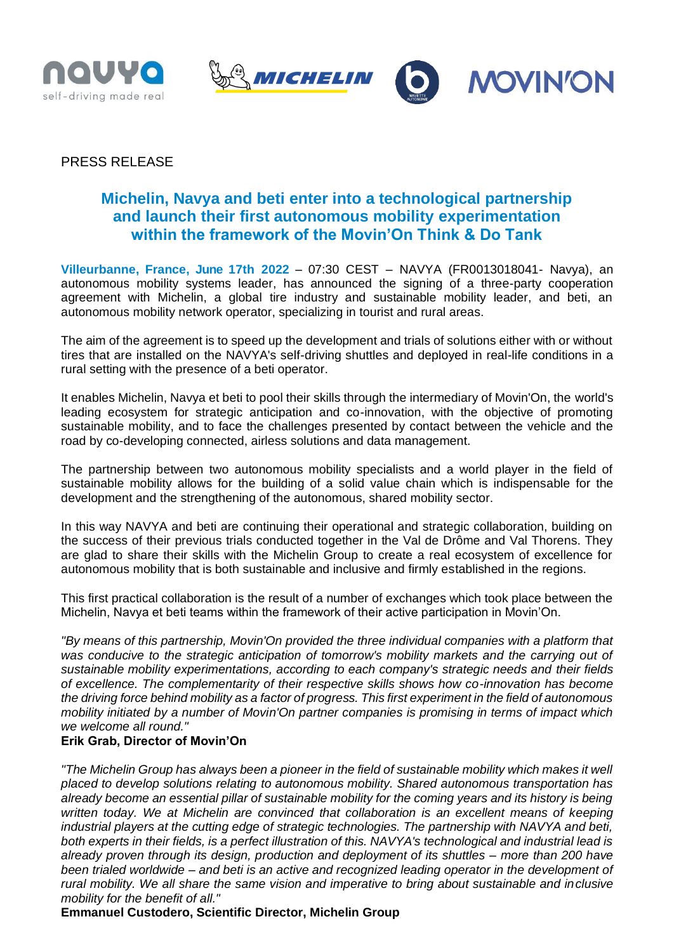



# PRESS RELEASE

# **Michelin, Navya and beti enter into a technological partnership and launch their first autonomous mobility experimentation within the framework of the Movin'On Think & Do Tank**

**Villeurbanne, France, June 17th 2022** – 07:30 CEST – NAVYA (FR0013018041- Navya), an autonomous mobility systems leader, has announced the signing of a three-party cooperation agreement with Michelin, a global tire industry and sustainable mobility leader, and beti, an autonomous mobility network operator, specializing in tourist and rural areas.

The aim of the agreement is to speed up the development and trials of solutions either with or without tires that are installed on the NAVYA's self-driving shuttles and deployed in real-life conditions in a rural setting with the presence of a beti operator.

It enables Michelin, Navya et beti to pool their skills through the intermediary of Movin'On, the world's leading ecosystem for strategic anticipation and co-innovation, with the objective of promoting sustainable mobility, and to face the challenges presented by contact between the vehicle and the road by co-developing connected, airless solutions and data management.

The partnership between two autonomous mobility specialists and a world player in the field of sustainable mobility allows for the building of a solid value chain which is indispensable for the development and the strengthening of the autonomous, shared mobility sector.

In this way NAVYA and beti are continuing their operational and strategic collaboration, building on the success of their previous trials conducted together in the Val de Drôme and Val Thorens. They are glad to share their skills with the Michelin Group to create a real ecosystem of excellence for autonomous mobility that is both sustainable and inclusive and firmly established in the regions.

This first practical collaboration is the result of a number of exchanges which took place between the Michelin, Navya et beti teams within the framework of their active participation in Movin'On.

*"By means of this partnership, Movin'On provided the three individual companies with a platform that*  was conducive to the strategic anticipation of tomorrow's mobility markets and the carrying out of *sustainable mobility experimentations, according to each company's strategic needs and their fields of excellence. The complementarity of their respective skills shows how co-innovation has become the driving force behind mobility as a factor of progress. This first experiment in the field of autonomous mobility initiated by a number of Movin'On partner companies is promising in terms of impact which we welcome all round."*

## **Erik Grab, Director of Movin'On**

*"The Michelin Group has always been a pioneer in the field of sustainable mobility which makes it well placed to develop solutions relating to autonomous mobility. Shared autonomous transportation has already become an essential pillar of sustainable mobility for the coming years and its history is being written today. We at Michelin are convinced that collaboration is an excellent means of keeping industrial players at the cutting edge of strategic technologies. The partnership with NAVYA and beti, both experts in their fields, is a perfect illustration of this. NAVYA's technological and industrial lead is already proven through its design, production and deployment of its shuttles – more than 200 have been trialed worldwide – and beti is an active and recognized leading operator in the development of rural mobility. We all share the same vision and imperative to bring about sustainable and inclusive mobility for the benefit of all."*

**Emmanuel Custodero, Scientific Director, Michelin Group**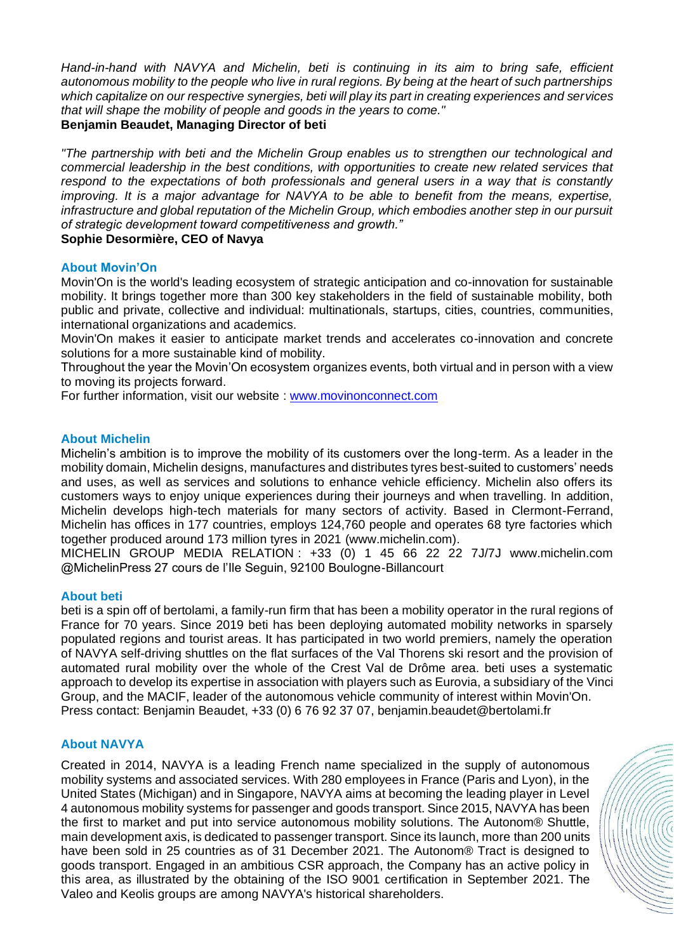*Hand-in-hand with NAVYA and Michelin, beti is continuing in its aim to bring safe, efficient autonomous mobility to the people who live in rural regions. By being at the heart of such partnerships which capitalize on our respective synergies, beti will play its part in creating experiences and services that will shape the mobility of people and goods in the years to come."*

## **Benjamin Beaudet, Managing Director of beti**

*"The partnership with beti and the Michelin Group enables us to strengthen our technological and commercial leadership in the best conditions, with opportunities to create new related services that respond to the expectations of both professionals and general users in a way that is constantly improving. It is a major advantage for NAVYA to be able to benefit from the means, expertise, infrastructure and global reputation of the Michelin Group, which embodies another step in our pursuit of strategic development toward competitiveness and growth."* **Sophie Desormière, CEO of Navya**

#### **About Movin'On**

Movin'On is the world's leading ecosystem of strategic anticipation and co-innovation for sustainable mobility. It brings together more than 300 key stakeholders in the field of sustainable mobility, both public and private, collective and individual: multinationals, startups, cities, countries, communities, international organizations and academics.

Movin'On makes it easier to anticipate market trends and accelerates co-innovation and concrete solutions for a more sustainable kind of mobility.

Throughout the year the Movin'On ecosystem organizes events, both virtual and in person with a view to moving its projects forward.

For further information, visit our website : [www.movinonconnect.com](http://www.movinonconnect.com/)

#### **About Michelin**

Michelin's ambition is to improve the mobility of its customers over the long-term. As a leader in the mobility domain, Michelin designs, manufactures and distributes tyres best-suited to customers' needs and uses, as well as services and solutions to enhance vehicle efficiency. Michelin also offers its customers ways to enjoy unique experiences during their journeys and when travelling. In addition, Michelin develops high-tech materials for many sectors of activity. Based in Clermont-Ferrand, Michelin has offices in 177 countries, employs 124,760 people and operates 68 tyre factories which together produced around 173 million tyres in 2021 (www.michelin.com).

MICHELIN GROUP MEDIA RELATION : +33 (0) 1 45 66 22 22 7J/7J www.michelin.com @MichelinPress 27 cours de l'Ile Seguin, 92100 Boulogne-Billancourt

#### **About beti**

beti is a spin off of bertolami, a family-run firm that has been a mobility operator in the rural regions of France for 70 years. Since 2019 beti has been deploying automated mobility networks in sparsely populated regions and tourist areas. It has participated in two world premiers, namely the operation of NAVYA self-driving shuttles on the flat surfaces of the Val Thorens ski resort and the provision of automated rural mobility over the whole of the Crest Val de Drôme area. beti uses a systematic approach to develop its expertise in association with players such as Eurovia, a subsidiary of the Vinci Group, and the MACIF, leader of the autonomous vehicle community of interest within Movin'On. Press contact: Benjamin Beaudet, +33 (0) 6 76 92 37 07, benjamin.beaudet@bertolami.fr

## **About NAVYA**

Created in 2014, NAVYA is a leading French name specialized in the supply of autonomous mobility systems and associated services. With 280 employees in France (Paris and Lyon), in the United States (Michigan) and in Singapore, NAVYA aims at becoming the leading player in Level 4 autonomous mobility systems for passenger and goods transport. Since 2015, NAVYA has been the first to market and put into service autonomous mobility solutions. The Autonom® Shuttle, main development axis, is dedicated to passenger transport. Since its launch, more than 200 units have been sold in 25 countries as of 31 December 2021. The Autonom® Tract is designed to goods transport. Engaged in an ambitious CSR approach, the Company has an active policy in this area, as illustrated by the obtaining of the ISO 9001 certification in September 2021. The Valeo and Keolis groups are among NAVYA's historical shareholders.